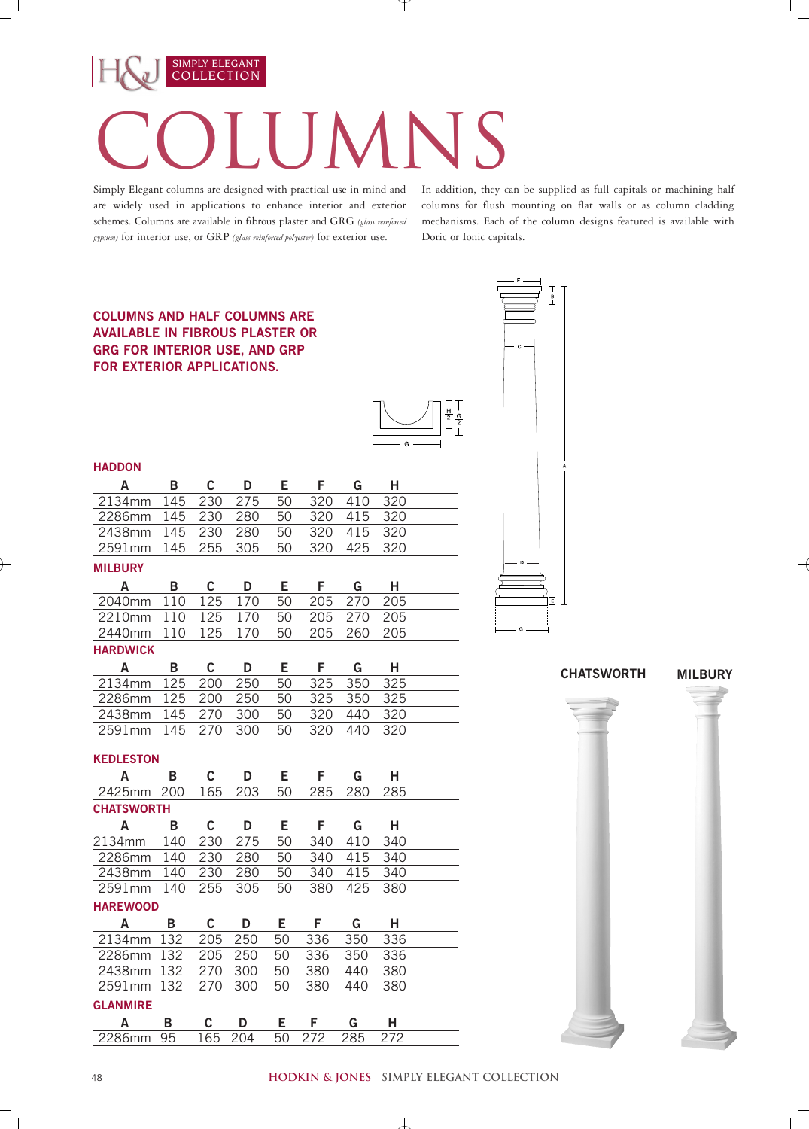## COLLECTION COLUMNS

Simply Elegant columns are designed with practical use in mind and are widely used in applications to enhance interior and exterior schemes. Columns are available in fibrous plaster and GRG *(glass reinforced gypsum)* for interior use, or GRP *(glass reinforced polyester)* for exterior use.

SIMPLY ELEGANT

In addition, they can be supplied as full capitals or machining half columns for flush mounting on flat walls or as column cladding mechanisms. Each of the column designs featured is available with Doric or Ionic capitals.

## **COLUMNS AND HALF COLUMNS ARE AVAILABLE IN FIBROUS PLASTER OR GRG FOR INTERIOR USE, AND GRP FOR EXTERIOR APPLICATIONS.**



| <b>HADDON</b><br>$\overline{A}$<br>$\mathbf{B}$<br>$\mathbf{C}$<br>$\mathbf{D}$<br>$-F$<br>$\mathbf{G}$<br>E.<br>H<br>$\overline{2}$ 134mm<br>320<br>320<br>275<br>145<br>230<br>50<br>410<br>2286mm<br>145<br>230<br>50<br>320<br>280<br>415<br>320<br>2438mm<br>145<br>230<br>280<br>320<br>320<br>50<br>415<br>145<br>255<br>305<br>320<br>425<br>320<br>2591mm<br>50<br><b>MILBURY</b><br>B C<br>E F G<br>$-H$<br>A<br><b>D</b><br>110<br>125<br>50<br>205<br>270<br>205<br>2040mm<br>170<br>50<br>205<br>110<br>125<br>170<br>205<br>2210mm<br>270<br>125<br>205<br>2440mm 110<br>50<br>260<br>205<br>170<br><b>HARDWICK</b><br>$\mathbf{C}$<br>$E = F$<br>A B<br>D<br>$\mathbf{G}$<br>H<br>2134mm 125<br>50 325<br>250<br>350<br>325<br>200<br>2286mm 125<br>250<br>50<br>325<br>200<br>350<br>325<br>2438mm 145<br>50<br>320<br>270<br>300<br>440<br>320<br>320<br>2591mm<br>145<br>270<br>300<br>50<br>440<br>320<br><b>KEDLESTON</b><br>A B C D E F G H<br>203<br>285<br>2425mm 200 165<br>280<br>285<br>50<br><b>CHATSWORTH</b><br>$\mathsf{A}$<br>$C$ D<br>E F G H<br>$\overline{B}$<br>2134mm 140<br>50<br>$-410$<br>275<br>340<br>340<br>230<br>2286mm 140<br>230<br>280<br>340 415<br>340<br>50<br>2438mm 140<br>230<br>280<br>50 340 415 340<br>255<br>2591mm<br>140<br>305<br>50<br>380<br>425<br>380<br><b>HAREWOOD</b><br>C D E F G H<br>A B<br>2134mm 132<br>336<br>$\overline{3}50$<br>205<br>250<br>336<br>50<br>2286mm 132<br>350<br>250<br>50<br>336<br>336<br>205<br>2438mm 132 270 300<br>50<br>380<br>440<br>380<br>2591mm 132 270 300<br>380<br>50<br>440<br>380<br><b>GLANMIRE</b><br>$\mathsf{C}$<br>$E =$<br>G<br>$\mathsf{A}$<br>$\Box$<br>F.<br>н<br>B<br>2286mm 95 165 204 50<br>285 272 |  |  |     | $\overline{\phantom{a}}$ $\phantom{a}$ $\phantom{a}$ $\phantom{a}$ $\phantom{a}$ |  |
|---------------------------------------------------------------------------------------------------------------------------------------------------------------------------------------------------------------------------------------------------------------------------------------------------------------------------------------------------------------------------------------------------------------------------------------------------------------------------------------------------------------------------------------------------------------------------------------------------------------------------------------------------------------------------------------------------------------------------------------------------------------------------------------------------------------------------------------------------------------------------------------------------------------------------------------------------------------------------------------------------------------------------------------------------------------------------------------------------------------------------------------------------------------------------------------------------------------------------------------------------------------------------------------------------------------------------------------------------------------------------------------------------------------------------------------------------------------------------------------------------------------------------------------------------------------------------------------------------------------------------------------------------------------------------------------------------------------------------|--|--|-----|----------------------------------------------------------------------------------|--|
|                                                                                                                                                                                                                                                                                                                                                                                                                                                                                                                                                                                                                                                                                                                                                                                                                                                                                                                                                                                                                                                                                                                                                                                                                                                                                                                                                                                                                                                                                                                                                                                                                                                                                                                           |  |  |     |                                                                                  |  |
|                                                                                                                                                                                                                                                                                                                                                                                                                                                                                                                                                                                                                                                                                                                                                                                                                                                                                                                                                                                                                                                                                                                                                                                                                                                                                                                                                                                                                                                                                                                                                                                                                                                                                                                           |  |  |     |                                                                                  |  |
|                                                                                                                                                                                                                                                                                                                                                                                                                                                                                                                                                                                                                                                                                                                                                                                                                                                                                                                                                                                                                                                                                                                                                                                                                                                                                                                                                                                                                                                                                                                                                                                                                                                                                                                           |  |  |     |                                                                                  |  |
|                                                                                                                                                                                                                                                                                                                                                                                                                                                                                                                                                                                                                                                                                                                                                                                                                                                                                                                                                                                                                                                                                                                                                                                                                                                                                                                                                                                                                                                                                                                                                                                                                                                                                                                           |  |  |     |                                                                                  |  |
|                                                                                                                                                                                                                                                                                                                                                                                                                                                                                                                                                                                                                                                                                                                                                                                                                                                                                                                                                                                                                                                                                                                                                                                                                                                                                                                                                                                                                                                                                                                                                                                                                                                                                                                           |  |  |     |                                                                                  |  |
|                                                                                                                                                                                                                                                                                                                                                                                                                                                                                                                                                                                                                                                                                                                                                                                                                                                                                                                                                                                                                                                                                                                                                                                                                                                                                                                                                                                                                                                                                                                                                                                                                                                                                                                           |  |  |     |                                                                                  |  |
|                                                                                                                                                                                                                                                                                                                                                                                                                                                                                                                                                                                                                                                                                                                                                                                                                                                                                                                                                                                                                                                                                                                                                                                                                                                                                                                                                                                                                                                                                                                                                                                                                                                                                                                           |  |  |     |                                                                                  |  |
|                                                                                                                                                                                                                                                                                                                                                                                                                                                                                                                                                                                                                                                                                                                                                                                                                                                                                                                                                                                                                                                                                                                                                                                                                                                                                                                                                                                                                                                                                                                                                                                                                                                                                                                           |  |  |     |                                                                                  |  |
|                                                                                                                                                                                                                                                                                                                                                                                                                                                                                                                                                                                                                                                                                                                                                                                                                                                                                                                                                                                                                                                                                                                                                                                                                                                                                                                                                                                                                                                                                                                                                                                                                                                                                                                           |  |  |     |                                                                                  |  |
|                                                                                                                                                                                                                                                                                                                                                                                                                                                                                                                                                                                                                                                                                                                                                                                                                                                                                                                                                                                                                                                                                                                                                                                                                                                                                                                                                                                                                                                                                                                                                                                                                                                                                                                           |  |  |     |                                                                                  |  |
|                                                                                                                                                                                                                                                                                                                                                                                                                                                                                                                                                                                                                                                                                                                                                                                                                                                                                                                                                                                                                                                                                                                                                                                                                                                                                                                                                                                                                                                                                                                                                                                                                                                                                                                           |  |  |     |                                                                                  |  |
|                                                                                                                                                                                                                                                                                                                                                                                                                                                                                                                                                                                                                                                                                                                                                                                                                                                                                                                                                                                                                                                                                                                                                                                                                                                                                                                                                                                                                                                                                                                                                                                                                                                                                                                           |  |  |     |                                                                                  |  |
|                                                                                                                                                                                                                                                                                                                                                                                                                                                                                                                                                                                                                                                                                                                                                                                                                                                                                                                                                                                                                                                                                                                                                                                                                                                                                                                                                                                                                                                                                                                                                                                                                                                                                                                           |  |  |     |                                                                                  |  |
|                                                                                                                                                                                                                                                                                                                                                                                                                                                                                                                                                                                                                                                                                                                                                                                                                                                                                                                                                                                                                                                                                                                                                                                                                                                                                                                                                                                                                                                                                                                                                                                                                                                                                                                           |  |  |     |                                                                                  |  |
|                                                                                                                                                                                                                                                                                                                                                                                                                                                                                                                                                                                                                                                                                                                                                                                                                                                                                                                                                                                                                                                                                                                                                                                                                                                                                                                                                                                                                                                                                                                                                                                                                                                                                                                           |  |  |     |                                                                                  |  |
|                                                                                                                                                                                                                                                                                                                                                                                                                                                                                                                                                                                                                                                                                                                                                                                                                                                                                                                                                                                                                                                                                                                                                                                                                                                                                                                                                                                                                                                                                                                                                                                                                                                                                                                           |  |  |     |                                                                                  |  |
|                                                                                                                                                                                                                                                                                                                                                                                                                                                                                                                                                                                                                                                                                                                                                                                                                                                                                                                                                                                                                                                                                                                                                                                                                                                                                                                                                                                                                                                                                                                                                                                                                                                                                                                           |  |  |     |                                                                                  |  |
|                                                                                                                                                                                                                                                                                                                                                                                                                                                                                                                                                                                                                                                                                                                                                                                                                                                                                                                                                                                                                                                                                                                                                                                                                                                                                                                                                                                                                                                                                                                                                                                                                                                                                                                           |  |  |     |                                                                                  |  |
|                                                                                                                                                                                                                                                                                                                                                                                                                                                                                                                                                                                                                                                                                                                                                                                                                                                                                                                                                                                                                                                                                                                                                                                                                                                                                                                                                                                                                                                                                                                                                                                                                                                                                                                           |  |  |     |                                                                                  |  |
|                                                                                                                                                                                                                                                                                                                                                                                                                                                                                                                                                                                                                                                                                                                                                                                                                                                                                                                                                                                                                                                                                                                                                                                                                                                                                                                                                                                                                                                                                                                                                                                                                                                                                                                           |  |  |     |                                                                                  |  |
|                                                                                                                                                                                                                                                                                                                                                                                                                                                                                                                                                                                                                                                                                                                                                                                                                                                                                                                                                                                                                                                                                                                                                                                                                                                                                                                                                                                                                                                                                                                                                                                                                                                                                                                           |  |  |     |                                                                                  |  |
|                                                                                                                                                                                                                                                                                                                                                                                                                                                                                                                                                                                                                                                                                                                                                                                                                                                                                                                                                                                                                                                                                                                                                                                                                                                                                                                                                                                                                                                                                                                                                                                                                                                                                                                           |  |  |     |                                                                                  |  |
|                                                                                                                                                                                                                                                                                                                                                                                                                                                                                                                                                                                                                                                                                                                                                                                                                                                                                                                                                                                                                                                                                                                                                                                                                                                                                                                                                                                                                                                                                                                                                                                                                                                                                                                           |  |  |     |                                                                                  |  |
|                                                                                                                                                                                                                                                                                                                                                                                                                                                                                                                                                                                                                                                                                                                                                                                                                                                                                                                                                                                                                                                                                                                                                                                                                                                                                                                                                                                                                                                                                                                                                                                                                                                                                                                           |  |  |     |                                                                                  |  |
|                                                                                                                                                                                                                                                                                                                                                                                                                                                                                                                                                                                                                                                                                                                                                                                                                                                                                                                                                                                                                                                                                                                                                                                                                                                                                                                                                                                                                                                                                                                                                                                                                                                                                                                           |  |  |     |                                                                                  |  |
|                                                                                                                                                                                                                                                                                                                                                                                                                                                                                                                                                                                                                                                                                                                                                                                                                                                                                                                                                                                                                                                                                                                                                                                                                                                                                                                                                                                                                                                                                                                                                                                                                                                                                                                           |  |  |     |                                                                                  |  |
|                                                                                                                                                                                                                                                                                                                                                                                                                                                                                                                                                                                                                                                                                                                                                                                                                                                                                                                                                                                                                                                                                                                                                                                                                                                                                                                                                                                                                                                                                                                                                                                                                                                                                                                           |  |  |     |                                                                                  |  |
|                                                                                                                                                                                                                                                                                                                                                                                                                                                                                                                                                                                                                                                                                                                                                                                                                                                                                                                                                                                                                                                                                                                                                                                                                                                                                                                                                                                                                                                                                                                                                                                                                                                                                                                           |  |  |     |                                                                                  |  |
|                                                                                                                                                                                                                                                                                                                                                                                                                                                                                                                                                                                                                                                                                                                                                                                                                                                                                                                                                                                                                                                                                                                                                                                                                                                                                                                                                                                                                                                                                                                                                                                                                                                                                                                           |  |  |     |                                                                                  |  |
|                                                                                                                                                                                                                                                                                                                                                                                                                                                                                                                                                                                                                                                                                                                                                                                                                                                                                                                                                                                                                                                                                                                                                                                                                                                                                                                                                                                                                                                                                                                                                                                                                                                                                                                           |  |  |     |                                                                                  |  |
|                                                                                                                                                                                                                                                                                                                                                                                                                                                                                                                                                                                                                                                                                                                                                                                                                                                                                                                                                                                                                                                                                                                                                                                                                                                                                                                                                                                                                                                                                                                                                                                                                                                                                                                           |  |  |     |                                                                                  |  |
|                                                                                                                                                                                                                                                                                                                                                                                                                                                                                                                                                                                                                                                                                                                                                                                                                                                                                                                                                                                                                                                                                                                                                                                                                                                                                                                                                                                                                                                                                                                                                                                                                                                                                                                           |  |  |     |                                                                                  |  |
|                                                                                                                                                                                                                                                                                                                                                                                                                                                                                                                                                                                                                                                                                                                                                                                                                                                                                                                                                                                                                                                                                                                                                                                                                                                                                                                                                                                                                                                                                                                                                                                                                                                                                                                           |  |  |     |                                                                                  |  |
|                                                                                                                                                                                                                                                                                                                                                                                                                                                                                                                                                                                                                                                                                                                                                                                                                                                                                                                                                                                                                                                                                                                                                                                                                                                                                                                                                                                                                                                                                                                                                                                                                                                                                                                           |  |  |     |                                                                                  |  |
|                                                                                                                                                                                                                                                                                                                                                                                                                                                                                                                                                                                                                                                                                                                                                                                                                                                                                                                                                                                                                                                                                                                                                                                                                                                                                                                                                                                                                                                                                                                                                                                                                                                                                                                           |  |  |     |                                                                                  |  |
|                                                                                                                                                                                                                                                                                                                                                                                                                                                                                                                                                                                                                                                                                                                                                                                                                                                                                                                                                                                                                                                                                                                                                                                                                                                                                                                                                                                                                                                                                                                                                                                                                                                                                                                           |  |  | 272 |                                                                                  |  |





 $\overline{1}$ 

## **hodkin & jones simply elegant collection**